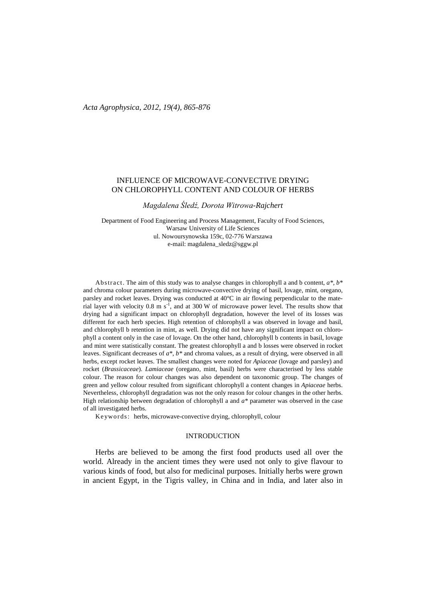# INFLUENCE OF MICROWAVE-CONVECTIVE DRYING ON CHLOROPHYLL CONTENT AND COLOUR OF HERBS

*Magdalena Śledź, Dorota Witrowa-Rajchert*

Department of Food Engineering and Process Management, Faculty of Food Sciences, Warsaw University of Life Sciences ul. Nowoursynowska 159c, 02-776 Warszawa e-mail: magdalena\_sledz@sggw.pl

Abstract. The aim of this study was to analyse changes in chlorophyll a and b content, *a\**, *b\** and chroma colour parameters during microwave-convective drying of basil, lovage, mint, oregano, parsley and rocket leaves. Drying was conducted at 40°C in air flowing perpendicular to the material layer with velocity  $0.8 \text{ m s}^{-1}$ , and at  $300 \text{ W}$  of microwave power level. The results show that drying had a significant impact on chlorophyll degradation, however the level of its losses was different for each herb species. High retention of chlorophyll a was observed in lovage and basil, and chlorophyll b retention in mint, as well. Drying did not have any significant impact on chlorophyll a content only in the case of lovage. On the other hand, chlorophyll b contents in basil, lovage and mint were statistically constant. The greatest chlorophyll a and b losses were observed in rocket leaves. Significant decreases of *a\**, *b\** and chroma values, as a result of drying, were observed in all herbs, except rocket leaves. The smallest changes were noted for *Apiaceae* (lovage and parsley) and rocket (*Brassicaceae*). *Lamiaceae* (oregano, mint, basil) herbs were characterised by less stable colour. The reason for colour changes was also dependent on taxonomic group. The changes of green and yellow colour resulted from significant chlorophyll a content changes in *Apiaceae* herbs. Nevertheless, chlorophyll degradation was not the only reason for colour changes in the other herbs. High relationship between degradation of chlorophyll a and *a\** parameter was observed in the case of all investigated herbs.

Keywords: herbs, microwave-convective drying, chlorophyll, colour

### INTRODUCTION

Herbs are believed to be among the first food products used all over the world. Already in the ancient times they were used not only to give flavour to various kinds of food, but also for medicinal purposes. Initially herbs were grown in ancient Egypt, in the Tigris valley, in China and in India, and later also in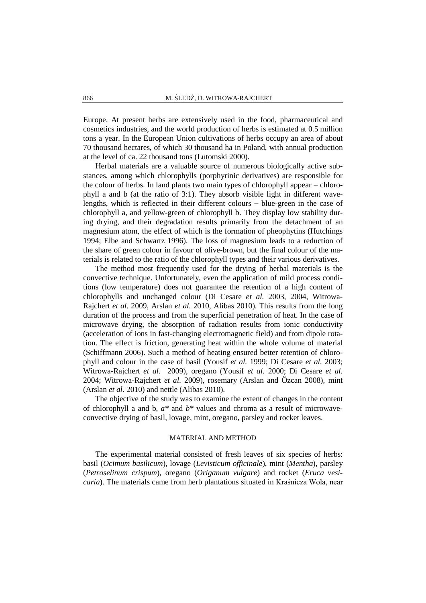Europe. At present herbs are extensively used in the food, pharmaceutical and cosmetics industries, and the world production of herbs is estimated at 0.5 million tons a year. In the European Union cultivations of herbs occupy an area of about 70 thousand hectares, of which 30 thousand ha in Poland, with annual production at the level of ca. 22 thousand tons (Lutomski 2000).

Herbal materials are a valuable source of numerous biologically active substances, among which chlorophylls (porphyrinic derivatives) are responsible for the colour of herbs. In land plants two main types of chlorophyll appear − chlorophyll a and b (at the ratio of 3:1). They absorb visible light in different wavelengths, which is reflected in their different colours − blue-green in the case of chlorophyll a, and yellow-green of chlorophyll b. They display low stability during drying, and their degradation results primarily from the detachment of an magnesium atom, the effect of which is the formation of pheophytins (Hutchings 1994; Elbe and Schwartz 1996). The loss of magnesium leads to a reduction of the share of green colour in favour of olive-brown, but the final colour of the materials is related to the ratio of the chlorophyll types and their various derivatives.

The method most frequently used for the drying of herbal materials is the convective technique. Unfortunately, even the application of mild process conditions (low temperature) does not guarantee the retention of a high content of chlorophylls and unchanged colour (Di Cesare *et al.* 2003, 2004, Witrowa-Rajchert *et al.* 2009, Arslan *et al.* 2010, Alibas 2010). This results from the long duration of the process and from the superficial penetration of heat. In the case of microwave drying, the absorption of radiation results from ionic conductivity (acceleration of ions in fast-changing electromagnetic field) and from dipole rotation. The effect is friction, generating heat within the whole volume of material (Schiffmann 2006). Such a method of heating ensured better retention of chlorophyll and colour in the case of basil (Yousif *et al.* 1999; Di Cesare *et al*. 2003; Witrowa-Rajchert *et al.* 2009), oregano (Yousif *et al*. 2000; Di Cesare *et al*. 2004; Witrowa-Rajchert *et al*. 2009), rosemary (Arslan and Özcan 2008), mint (Arslan *et al*. 2010) and nettle (Alibas 2010).

The objective of the study was to examine the extent of changes in the content of chlorophyll a and b, *a\** and *b\** values and chroma as a result of microwaveconvective drying of basil, lovage, mint, oregano, parsley and rocket leaves.

### MATERIAL AND METHOD

The experimental material consisted of fresh leaves of six species of herbs: basil (*Ocimum basilicum*), lovage (*Levisticum officinale*), mint (*Mentha*), parsley (*Petroselinum crispum*), oregano (*Origanum vulgare*) and rocket (*Eruca vesicaria*). The materials came from herb plantations situated in Kraśnicza Wola, near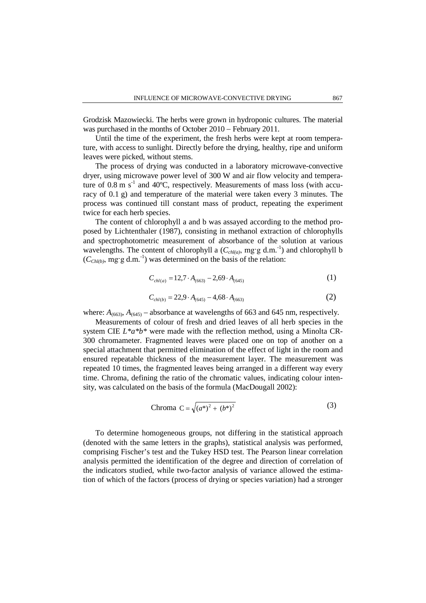Grodzisk Mazowiecki. The herbs were grown in hydroponic cultures. The material was purchased in the months of October 2010 − February 2011.

Until the time of the experiment, the fresh herbs were kept at room temperature, with access to sunlight. Directly before the drying, healthy, ripe and uniform leaves were picked, without stems.

The process of drying was conducted in a laboratory microwave-convective dryer, using microwave power level of 300 W and air flow velocity and temperature of  $0.8 \text{ m s}^{-1}$  and  $40^{\circ}\text{C}$ , respectively. Measurements of mass loss (with accuracy of 0.1 g) and temperature of the material were taken every 3 minutes. The process was continued till constant mass of product, repeating the experiment twice for each herb species.

The content of chlorophyll a and b was assayed according to the method proposed by Lichtenthaler (1987), consisting in methanol extraction of chlorophylls and spectrophotometric measurement of absorbance of the solution at various wavelengths. The content of chlorophyll a  $(C_{\text{ch/(a)}}, \text{mg/g d.m.}^{-1})$  and chlorophyll b  $(C_{Chl(b)},$  mg·g d.m.<sup>-1</sup>) was determined on the basis of the relation:

$$
C_{\text{chl}(a)} = 12.7 \cdot A_{(663)} - 2.69 \cdot A_{(645)} \tag{1}
$$

$$
C_{\text{ch}(b)} = 22.9 \cdot A_{(645)} - 4.68 \cdot A_{(663)}
$$
 (2)

where:  $A_{(663)}$ ,  $A_{(645)}$  – absorbance at wavelengths of 663 and 645 nm, respectively.

Measurements of colour of fresh and dried leaves of all herb species in the system CIE *L\*a\*b\** were made with the reflection method, using a Minolta CR-300 chromameter. Fragmented leaves were placed one on top of another on a special attachment that permitted elimination of the effect of light in the room and ensured repeatable thickness of the measurement layer. The measurement was repeated 10 times, the fragmented leaves being arranged in a different way every time. Chroma, defining the ratio of the chromatic values, indicating colour intensity, was calculated on the basis of the formula (MacDougall 2002):

Chroma 
$$
C = \sqrt{(a^*)^2 + (b^*)^2}
$$
 (3)

To determine homogeneous groups, not differing in the statistical approach (denoted with the same letters in the graphs), statistical analysis was performed, comprising Fischer's test and the Tukey HSD test. The Pearson linear correlation analysis permitted the identification of the degree and direction of correlation of the indicators studied, while two-factor analysis of variance allowed the estimation of which of the factors (process of drying or species variation) had a stronger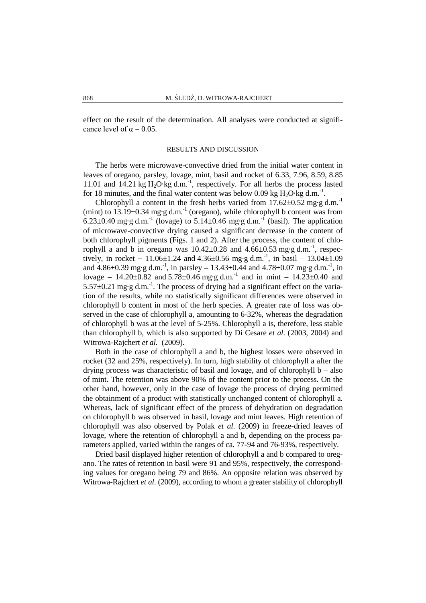effect on the result of the determination. All analyses were conducted at significance level of  $\alpha = 0.05$ .

#### RESULTS AND DISCUSSION

The herbs were microwave-convective dried from the initial water content in leaves of oregano, parsley, lovage, mint, basil and rocket of 6.33, 7.96, 8.59, 8.85 11.01 and 14.21 kg  $H_2O$ ·kg d.m.<sup>-1</sup>, respectively. For all herbs the process lasted for 18 minutes, and the final water content was below 0.09 kg  $H_2O$  kg d.m.<sup>-1</sup>.

Chlorophyll a content in the fresh herbs varied from  $17.62 \pm 0.52$  mg·g d.m.<sup>-1</sup> (mint) to  $13.19\pm0.34$  mg·g d.m.<sup>-1</sup> (oregano), while chlorophyll b content was from 6.23 $\pm$ 0.40 mg·g d.m.<sup>-1</sup> (lovage) to 5.14 $\pm$ 0.46 mg·g d.m.<sup>-1</sup> (basil). The application of microwave-convective drying caused a significant decrease in the content of both chlorophyll pigments (Figs. 1 and 2). After the process, the content of chlorophyll a and b in oregano was  $10.42 \pm 0.28$  and  $4.66 \pm 0.53$  mg·g d.m.<sup>-1</sup>, respectively, in rocket – 11.06 $\pm$ 1.24 and 4.36 $\pm$ 0.56 mg·g d.m.<sup>-1</sup>, in basil – 13.04 $\pm$ 1.09 and  $4.86\pm0.39$  mg·g d.m.<sup>-1</sup>, in parsley  $- 13.43\pm0.44$  and  $4.78\pm0.07$  mg·g d.m.<sup>-1</sup>, in lovage – 14.20 $\pm$ 0.82 and 5.78 $\pm$ 0.46 mg·g d.m.<sup>-1</sup> and in mint – 14.23 $\pm$ 0.40 and  $5.57\pm0.21$  mg·g d.m.<sup>-1</sup>. The process of drying had a significant effect on the variation of the results, while no statistically significant differences were observed in chlorophyll b content in most of the herb species. A greater rate of loss was observed in the case of chlorophyll a, amounting to 6-32%, whereas the degradation of chlorophyll b was at the level of 5-25%. Chlorophyll a is, therefore, less stable than chlorophyll b, which is also supported by Di Cesare *et al.* (2003, 2004) and Witrowa-Rajchert *et al.* (2009).

Both in the case of chlorophyll a and b, the highest losses were observed in rocket (32 and 25%, respectively). In turn, high stability of chlorophyll a after the drying process was characteristic of basil and lovage, and of chlorophyll b – also of mint. The retention was above 90% of the content prior to the process. On the other hand, however, only in the case of lovage the process of drying permitted the obtainment of a product with statistically unchanged content of chlorophyll a. Whereas, lack of significant effect of the process of dehydration on degradation on chlorophyll b was observed in basil, lovage and mint leaves. High retention of chlorophyll was also observed by Polak *et al*. (2009) in freeze-dried leaves of lovage, where the retention of chlorophyll a and b, depending on the process parameters applied, varied within the ranges of ca. 77-94 and 76-93%, respectively.

Dried basil displayed higher retention of chlorophyll a and b compared to oregano. The rates of retention in basil were 91 and 95%, respectively, the corresponding values for oregano being 79 and 86%. An opposite relation was observed by Witrowa-Rajchert *et al*. (2009), according to whom a greater stability of chlorophyll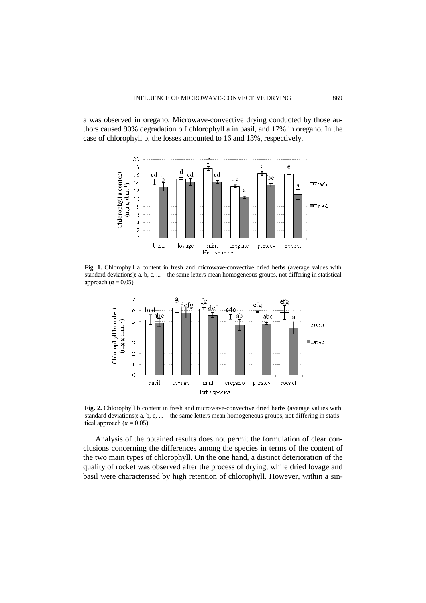a was observed in oregano. Microwave-convective drying conducted by those authors caused 90% degradation o f chlorophyll a in basil, and 17% in oregano. In the case of chlorophyll b, the losses amounted to 16 and 13%, respectively.



**Fig. 1.** Chlorophyll a content in fresh and microwave-convective dried herbs (average values with standard deviations); a, b, c, ... – the same letters mean homogeneous groups, not differing in statistical approach ( $\alpha$  = 0.05)



**Fig. 2.** Chlorophyll b content in fresh and microwave-convective dried herbs (average values with standard deviations); a, b, c, ... – the same letters mean homogeneous groups, not differing in statistical approach ( $\alpha = 0.05$ )

Analysis of the obtained results does not permit the formulation of clear conclusions concerning the differences among the species in terms of the content of the two main types of chlorophyll. On the one hand, a distinct deterioration of the quality of rocket was observed after the process of drying, while dried lovage and basil were characterised by high retention of chlorophyll. However, within a sin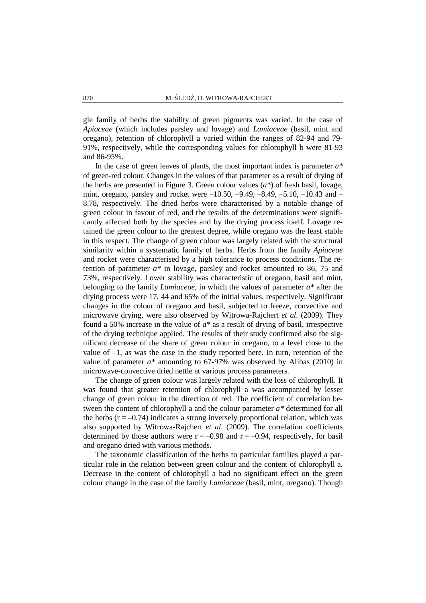gle family of herbs the stability of green pigments was varied. In the case of *Apiaceae* (which includes parsley and lovage) and *Lamiaceae* (basil, mint and oregano), retention of chlorophyll a varied within the ranges of 82-94 and 79- 91%, respectively, while the corresponding values for chlorophyll b were 81-93 and 86-95%.

In the case of green leaves of plants, the most important index is parameter  $a^*$ of green-red colour. Changes in the values of that parameter as a result of drying of the herbs are presented in Figure 3. Green colour values  $(a^*)$  of fresh basil, lovage, mint, oregano, parsley and rocket were –10.50, –9.49, –8.49, –5.10, –10.43 and – 8.78, respectively. The dried herbs were characterised by a notable change of green colour in favour of red, and the results of the determinations were significantly affected both by the species and by the drying process itself. Lovage retained the green colour to the greatest degree, while oregano was the least stable in this respect. The change of green colour was largely related with the structural similarity within a systematic family of herbs. Herbs from the family *Apiaceae* and rocket were characterised by a high tolerance to process conditions. The retention of parameter *a\** in lovage, parsley and rocket amounted to 86, 75 and 73%, respectively. Lower stability was characteristic of oregano, basil and mint, belonging to the family *Lamiaceae*, in which the values of parameter *a\** after the drying process were 17, 44 and 65% of the initial values, respectively. Significant changes in the colour of oregano and basil, subjected to freeze, convective and microwave drying, were also observed by Witrowa-Rajchert *et al*. (2009). They found a 50% increase in the value of *a\** as a result of drying of basil, irrespective of the drying technique applied. The results of their study confirmed also the significant decrease of the share of green colour in oregano, to a level close to the value of  $-1$ , as was the case in the study reported here. In turn, retention of the value of parameter *a\** amounting to 67-97% was observed by Alibas (2010) in microwave-convective dried nettle at various process parameters.

The change of green colour was largely related with the loss of chlorophyll. It was found that greater retention of chlorophyll a was accompanied by lesser change of green colour in the direction of red. The coefficient of correlation between the content of chlorophyll a and the colour parameter *a\** determined for all the herbs  $(r = -0.74)$  indicates a strong inversely proportional relation, which was also supported by Witrowa-Rajchert *et al*. (2009). The correlation coefficients determined by those authors were  $r = -0.98$  and  $r = -0.94$ , respectively, for basil and oregano dried with various methods.

The taxonomic classification of the herbs to particular families played a particular role in the relation between green colour and the content of chlorophyll a. Decrease in the content of chlorophyll a had no significant effect on the green colour change in the case of the family *Lamiaceae* (basil, mint, oregano). Though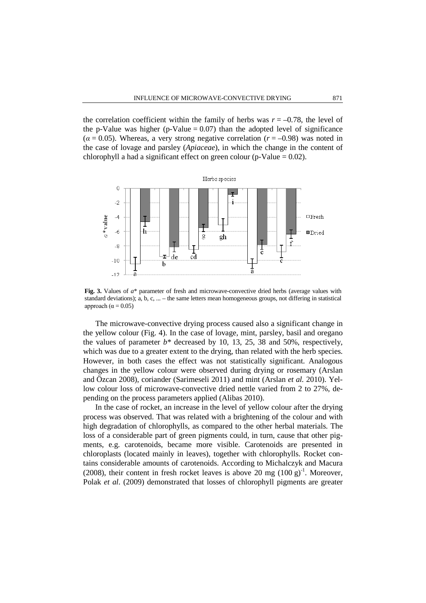the correlation coefficient within the family of herbs was  $r = -0.78$ , the level of the p-Value was higher (p-Value  $= 0.07$ ) than the adopted level of significance  $(a = 0.05)$ . Whereas, a very strong negative correlation  $(r = -0.98)$  was noted in the case of lovage and parsley (*Apiaceae*), in which the change in the content of chlorophyll a had a significant effect on green colour (p-Value  $= 0.02$ ).



**Fig. 3.** Values of *a*\* parameter of fresh and microwave-convective dried herbs (average values with standard deviations); a, b, c, ... – the same letters mean homogeneous groups, not differing in statistical approach ( $\alpha$  = 0.05)

The microwave-convective drying process caused also a significant change in the yellow colour (Fig. 4). In the case of lovage, mint, parsley, basil and oregano the values of parameter  $b^*$  decreased by 10, 13, 25, 38 and 50%, respectively, which was due to a greater extent to the drying, than related with the herb species. However, in both cases the effect was not statistically significant. Analogous changes in the yellow colour were observed during drying or rosemary (Arslan and Özcan 2008), coriander (Sarimeseli 2011) and mint (Arslan *et al.* 2010). Yellow colour loss of microwave-convective dried nettle varied from 2 to 27%, depending on the process parameters applied (Alibas 2010).

In the case of rocket, an increase in the level of yellow colour after the drying process was observed. That was related with a brightening of the colour and with high degradation of chlorophylls, as compared to the other herbal materials. The loss of a considerable part of green pigments could, in turn, cause that other pigments, e.g. carotenoids, became more visible. Carotenoids are presented in chloroplasts (located mainly in leaves), together with chlorophylls. Rocket contains considerable amounts of carotenoids. According to Michalczyk and Macura (2008), their content in fresh rocket leaves is above 20 mg  $(100 g)^{-1}$ . Moreover, Polak *et al*. (2009) demonstrated that losses of chlorophyll pigments are greater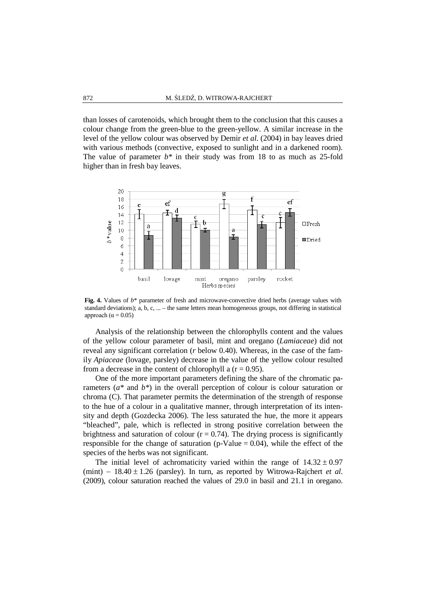than losses of carotenoids, which brought them to the conclusion that this causes a colour change from the green-blue to the green-yellow. A similar increase in the level of the yellow colour was observed by Demir *et al*. (2004) in bay leaves dried with various methods (convective, exposed to sunlight and in a darkened room). The value of parameter *b\** in their study was from 18 to as much as 25-fold higher than in fresh bay leaves.



**Fig. 4.** Values of *b*\* parameter of fresh and microwave-convective dried herbs (average values with standard deviations); a, b, c, ... – the same letters mean homogeneous groups, not differing in statistical approach ( $\alpha$  = 0.05)

Analysis of the relationship between the chlorophylls content and the values of the yellow colour parameter of basil, mint and oregano (*Lamiaceae*) did not reveal any significant correlation (*r* below 0.40). Whereas, in the case of the family *Apiaceae* (lovage, parsley) decrease in the value of the yellow colour resulted from a decrease in the content of chlorophyll a  $(r = 0.95)$ .

One of the more important parameters defining the share of the chromatic parameters (*a\** and *b\**) in the overall perception of colour is colour saturation or chroma (C). That parameter permits the determination of the strength of response to the hue of a colour in a qualitative manner, through interpretation of its intensity and depth (Gozdecka 2006). The less saturated the hue, the more it appears "bleached", pale, which is reflected in strong positive correlation between the brightness and saturation of colour  $(r = 0.74)$ . The drying process is significantly responsible for the change of saturation (p-Value  $= 0.04$ ), while the effect of the species of the herbs was not significant.

The initial level of achromaticity varied within the range of  $14.32 \pm 0.97$ (mint) − 18.40 ± 1.26 (parsley). In turn, as reported by Witrowa-Rajchert *et al*. (2009), colour saturation reached the values of 29.0 in basil and 21.1 in oregano.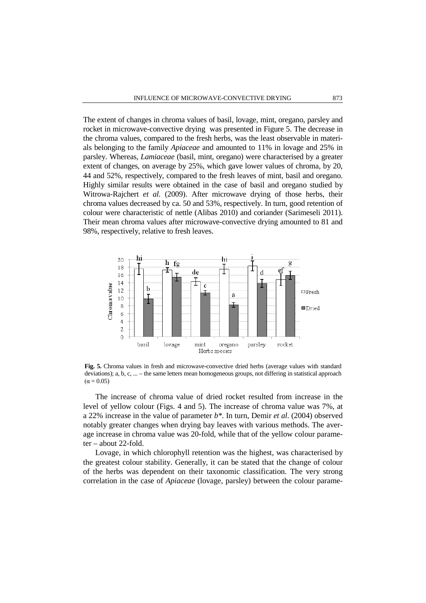The extent of changes in chroma values of basil, lovage, mint, oregano, parsley and rocket in microwave-convective drying was presented in Figure 5. The decrease in the chroma values, compared to the fresh herbs, was the least observable in materials belonging to the family *Apiaceae* and amounted to 11% in lovage and 25% in parsley. Whereas, *Lamiaceae* (basil, mint, oregano) were characterised by a greater extent of changes, on average by 25%, which gave lower values of chroma, by 20, 44 and 52%, respectively, compared to the fresh leaves of mint, basil and oregano. Highly similar results were obtained in the case of basil and oregano studied by Witrowa-Rajchert *et al.* (2009). After microwave drying of those herbs, their chroma values decreased by ca. 50 and 53%, respectively. In turn, good retention of colour were characteristic of nettle (Alibas 2010) and coriander (Sarimeseli 2011). Their mean chroma values after microwave-convective drying amounted to 81 and 98%, respectively, relative to fresh leaves.



**Fig. 5.** Chroma values in fresh and microwave-convective dried herbs (average values with standard deviations); a, b, c, ... – the same letters mean homogeneous groups, not differing in statistical approach  $(\alpha = 0.05)$ 

The increase of chroma value of dried rocket resulted from increase in the level of yellow colour (Figs. 4 and 5). The increase of chroma value was 7%, at a 22% increase in the value of parameter *b\**. In turn, Demir *et al*. (2004) observed notably greater changes when drying bay leaves with various methods. The average increase in chroma value was 20-fold, while that of the yellow colour parameter – about 22-fold.

Lovage, in which chlorophyll retention was the highest, was characterised by the greatest colour stability. Generally, it can be stated that the change of colour of the herbs was dependent on their taxonomic classification. The very strong correlation in the case of *Apiaceae* (lovage, parsley) between the colour parame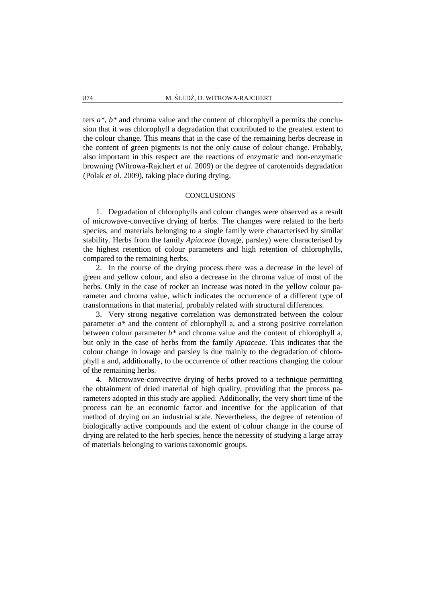ters *a\**, *b\** and chroma value and the content of chlorophyll a permits the conclusion that it was chlorophyll a degradation that contributed to the greatest extent to the colour change. This means that in the case of the remaining herbs decrease in the content of green pigments is not the only cause of colour change. Probably, also important in this respect are the reactions of enzymatic and non-enzymatic browning (Witrowa-Rajchert *et al*. 2009) or the degree of carotenoids degradation (Polak *et al.* 2009), taking place during drying.

### **CONCLUSIONS**

1. Degradation of chlorophylls and colour changes were observed as a result of microwave-convective drying of herbs. The changes were related to the herb species, and materials belonging to a single family were characterised by similar stability. Herbs from the family *Apiaceae* (lovage, parsley) were characterised by the highest retention of colour parameters and high retention of chlorophylls, compared to the remaining herbs.

2. In the course of the drying process there was a decrease in the level of green and yellow colour, and also a decrease in the chroma value of most of the herbs. Only in the case of rocket an increase was noted in the yellow colour parameter and chroma value, which indicates the occurrence of a different type of transformations in that material, probably related with structural differences.

3. Very strong negative correlation was demonstrated between the colour parameter *a\** and the content of chlorophyll a, and a strong positive correlation between colour parameter *b\** and chroma value and the content of chlorophyll a, but only in the case of herbs from the family *Apiaceae*. This indicates that the colour change in lovage and parsley is due mainly to the degradation of chlorophyll a and, additionally, to the occurrence of other reactions changing the colour of the remaining herbs.

4. Microwave-convective drying of herbs proved to a technique permitting the obtainment of dried material of high quality, providing that the process parameters adopted in this study are applied. Additionally, the very short time of the process can be an economic factor and incentive for the application of that method of drying on an industrial scale. Nevertheless, the degree of retention of biologically active compounds and the extent of colour change in the course of drying are related to the herb species, hence the necessity of studying a large array of materials belonging to various taxonomic groups.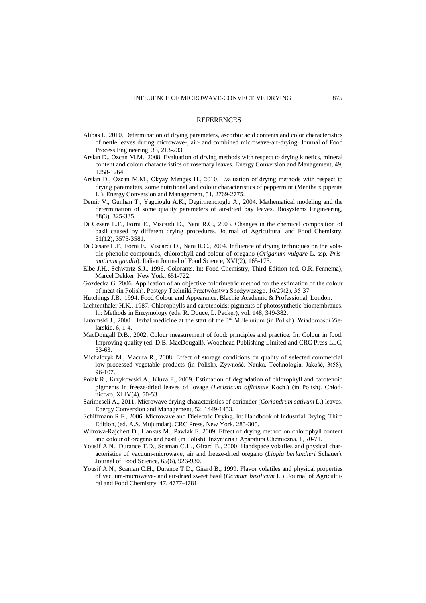#### REFERENCES

- Alibas I., 2010. Determination of drying parameters, ascorbic acid contents and color characteristics of nettle leaves during microwave-, air- and combined microwave-air-drying. Journal of Food Process Engineering, 33, 213-233.
- Arslan D., Özcan M.M., 2008. Evaluation of drying methods with respect to drying kinetics, mineral content and colour characteristics of rosemary leaves. Energy Conversion and Management, 49, 1258-1264.
- Arslan D., Özcan M.M., Okyay Mengeş H., 2010. Evaluation of drying methods with respect to drying parameters, some nutritional and colour characteristics of peppermint (Mentha x piperita L.). Energy Conversion and Management, 51, 2769-2775.
- Demir V., Gunhan T., Yagcioglu A.K., Degirmencioglu A., 2004. Mathematical modeling and the determination of some quality parameters of air-dried bay leaves. Biosystems Engineering, 88(3), 325-335.
- Di Cesare L.F., Forni E., Viscardi D., Nani R.C., 2003. Changes in the chemical composition of basil caused by different drying procedures. Journal of Agricultural and Food Chemistry, 51(12), 3575-3581.
- Di Cesare L.F., Forni E., Viscardi D., Nani R.C., 2004. Influence of drying techniques on the volatile phenolic compounds, chlorophyll and colour of oregano (*Origanum vulgare* L. ssp. *Prismaticum gaudin*). Italian Journal of Food Science, XVI(2), 165-175.
- Elbe J.H., Schwartz S.J., 1996. Colorants. In: Food Chemistry, Third Edition (ed. O.R. Fennema), Marcel Dekker, New York, 651-722.
- Gozdecka G. 2006. Application of an objective colorimetric method for the estimation of the colour of meat (in Polish). Postępy Techniki Przetwórstwa Spożywczego, 16/29(2), 35-37.
- Hutchings J.B., 1994. Food Colour and Appearance. Blachie Academic & Professional, London.
- Lichtenthaler H.K., 1987. Chlorophylls and carotenoids: pigments of photosynthetic biomembranes. In: Methods in Enzymology (eds. R. Douce, L. Packer), vol. 148, 349-382.
- Lutomski J., 2000. Herbal medicine at the start of the 3rd Millennium (in Polish). Wiadomości Zielarskie. 6, 1-4.
- MacDougall D.B., 2002. Colour measurement of food: principles and practice. In: Colour in food. Improving quality (ed. D.B. MacDougall). Woodhead Publishing Limited and CRC Press LLC, 33-63.
- Michalczyk M., Macura R., 2008. Effect of storage conditions on quality of selected commercial low-processed vegetable products (in Polish). Żywność. Nauka. Technologia. Jakość, 3(58), 96-107.
- Polak R., Krzykowski A., Kluza F., 2009. Estimation of degradation of chlorophyll and carotenoid pigments in freeze-dried leaves of lovage (*Lecisticum officinale* Koch.) (in Polish). Chłodnictwo, XLIV(4), 50-53.
- Sarimeseli A., 2011. Microwave drying characteristics of coriander (*Coriandrum sativum* L.) leaves. Energy Conversion and Management, 52, 1449-1453.
- Schiffmann R.F., 2006. Microwave and Dielectric Drying. In: Handbook of Industrial Drying, Third Edition, (ed. A.S. Mujumdar). CRC Press, New York, 285-305.
- Witrowa-Rajchert D., Hankus M., Pawlak E. 2009. Effect of drying method on chlorophyll content and colour of oregano and basil (in Polish). Inżynieria i Aparatura Chemiczna, 1, 70-71.
- Yousif A.N., Durance T.D., Scaman C.H., Girard B., 2000. Handspace volatiles and physical characteristics of vacuum-microwave, air and freeze-dried oregano (*Lippia berlandieri* Schauer). Journal of Food Science, 65(6), 926-930.
- Yousif A.N., Scaman C.H., Durance T.D., Girard B., 1999. Flavor volatiles and physical properties of vacuum-microwave- and air-dried sweet basil (*Ocimum basilicum* L.). Journal of Agricultural and Food Chemistry, 47, 4777-4781.